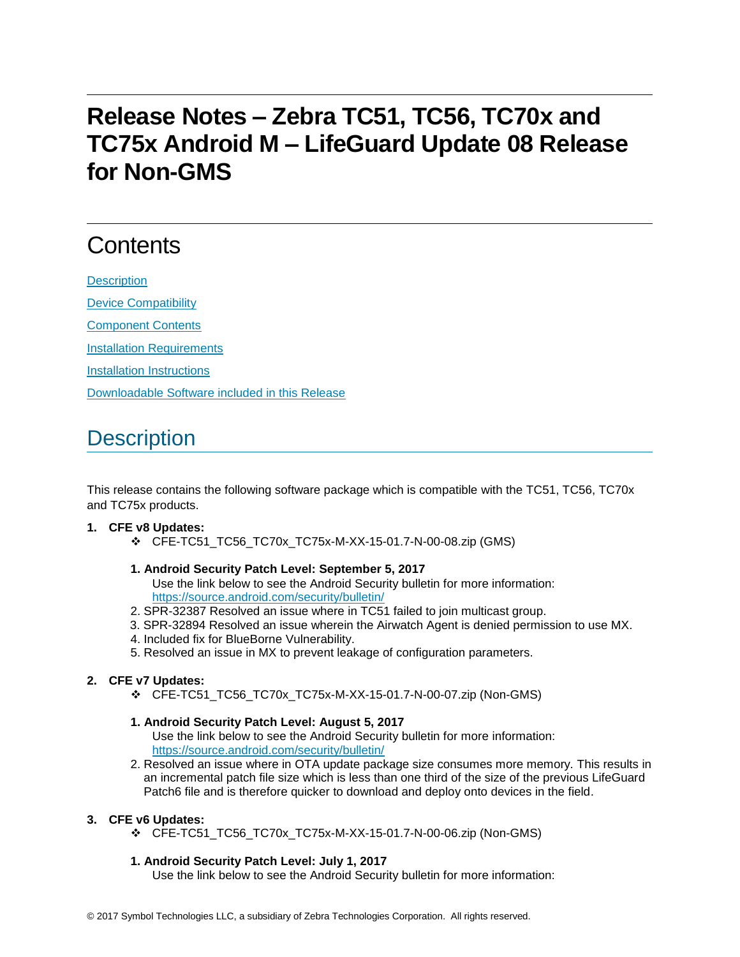## **Release Notes – Zebra TC51, TC56, TC70x and TC75x Android M – LifeGuard Update 08 Release for Non-GMS**

# **Contents**

**[Description](#page-0-0)** 

[Device Compatibility](#page-1-0)

[Component Contents](#page-2-0)

[Installation Requirements](#page-2-1)

[Installation Instructions](#page-2-2)

[Downloadable Software included in this Release](#page-4-0)

## <span id="page-0-0"></span>**Description**

This release contains the following software package which is compatible with the TC51, TC56, TC70x and TC75x products.

## **1. CFE v8 Updates:**

❖ CFE-TC51\_TC56\_TC70x\_TC75x-M-XX-15-01.7-N-00-08.zip (GMS)

## **1. Android Security Patch Level: September 5, 2017**

Use the link below to see the Android Security bulletin for more information: <https://source.android.com/security/bulletin/>

- 2. SPR-32387 Resolved an issue where in TC51 failed to join multicast group.
- 3. SPR-32894 Resolved an issue wherein the Airwatch Agent is denied permission to use MX.
- 4. Included fix for BlueBorne Vulnerability.
- 5. Resolved an issue in MX to prevent leakage of configuration parameters.

## **2. CFE v7 Updates:**

❖ CFE-TC51\_TC56\_TC70x\_TC75x-M-XX-15-01.7-N-00-07.zip (Non-GMS)

## **1. Android Security Patch Level: August 5, 2017**

Use the link below to see the Android Security bulletin for more information: <https://source.android.com/security/bulletin/>

2. Resolved an issue where in OTA update package size consumes more memory. This results in an incremental patch file size which is less than one third of the size of the previous LifeGuard Patch6 file and is therefore quicker to download and deploy onto devices in the field.

## **3. CFE v6 Updates:**

❖ CFE-TC51\_TC56\_TC70x\_TC75x-M-XX-15-01.7-N-00-06.zip (Non-GMS)

## **1. Android Security Patch Level: July 1, 2017**

Use the link below to see the Android Security bulletin for more information: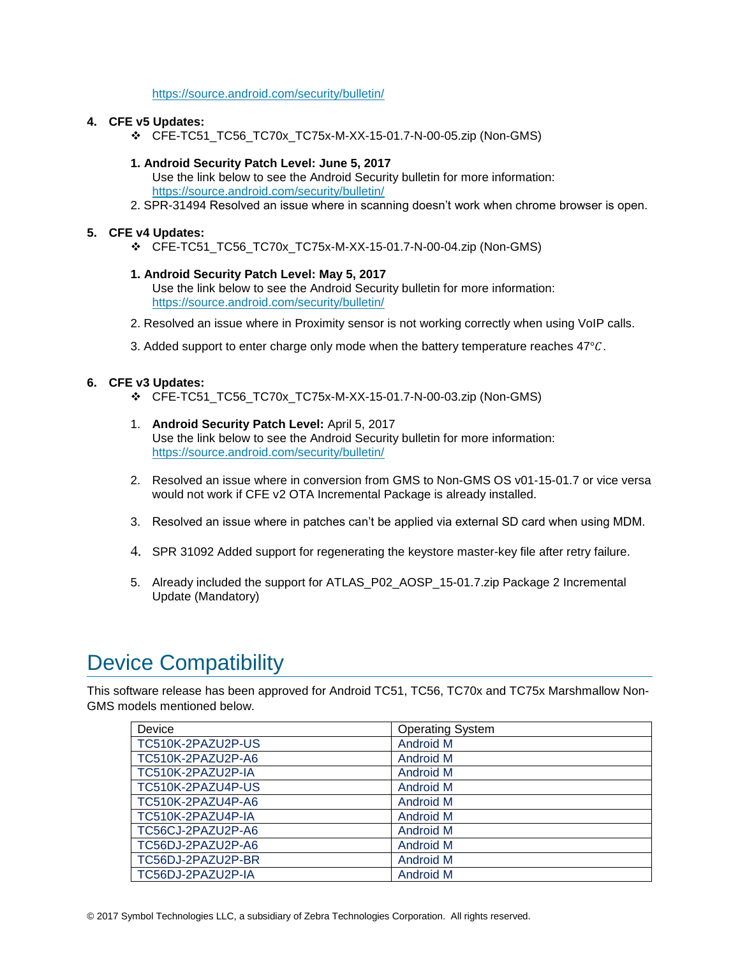### <https://source.android.com/security/bulletin/>

### **4. CFE v5 Updates:**

❖ CFE-TC51\_TC56\_TC70x\_TC75x-M-XX-15-01.7-N-00-05.zip (Non-GMS)

## **1. Android Security Patch Level: June 5, 2017**

- Use the link below to see the Android Security bulletin for more information: <https://source.android.com/security/bulletin/>
- 2. SPR-31494 Resolved an issue where in scanning doesn't work when chrome browser is open.

### **5. CFE v4 Updates:**

❖ CFE-TC51\_TC56\_TC70x\_TC75x-M-XX-15-01.7-N-00-04.zip (Non-GMS)

### **1. Android Security Patch Level: May 5, 2017**

Use the link below to see the Android Security bulletin for more information: <https://source.android.com/security/bulletin/>

- 2. Resolved an issue where in Proximity sensor is not working correctly when using VoIP calls.
- 3. Added support to enter charge only mode when the battery temperature reaches  $47^{\circ}$ C.

### **6. CFE v3 Updates:**

- ❖ CFE-TC51\_TC56\_TC70x\_TC75x-M-XX-15-01.7-N-00-03.zip (Non-GMS)
- 1. **Android Security Patch Level:** April 5, 2017 Use the link below to see the Android Security bulletin for more information: <https://source.android.com/security/bulletin/>
- 2. Resolved an issue where in conversion from GMS to Non-GMS OS v01-15-01.7 or vice versa would not work if CFE v2 OTA Incremental Package is already installed.
- 3. Resolved an issue where in patches can't be applied via external SD card when using MDM.
- 4. SPR 31092 Added support for regenerating the keystore master-key file after retry failure.
- 5. Already included the support for ATLAS\_P02\_AOSP\_15-01.7.zip Package 2 Incremental Update (Mandatory)

## <span id="page-1-0"></span>Device Compatibility

This software release has been approved for Android TC51, TC56, TC70x and TC75x Marshmallow Non-GMS models mentioned below.

| Device            | <b>Operating System</b> |
|-------------------|-------------------------|
| TC510K-2PAZU2P-US | <b>Android M</b>        |
| TC510K-2PAZU2P-A6 | Android M               |
| TC510K-2PAZU2P-IA | <b>Android M</b>        |
| TC510K-2PAZU4P-US | Android M               |
| TC510K-2PAZU4P-A6 | Android M               |
| TC510K-2PAZU4P-IA | <b>Android M</b>        |
| TC56CJ-2PAZU2P-A6 | Android M               |
| TC56DJ-2PAZU2P-A6 | <b>Android M</b>        |
| TC56DJ-2PAZU2P-BR | <b>Android M</b>        |
| TC56DJ-2PAZU2P-IA | <b>Android M</b>        |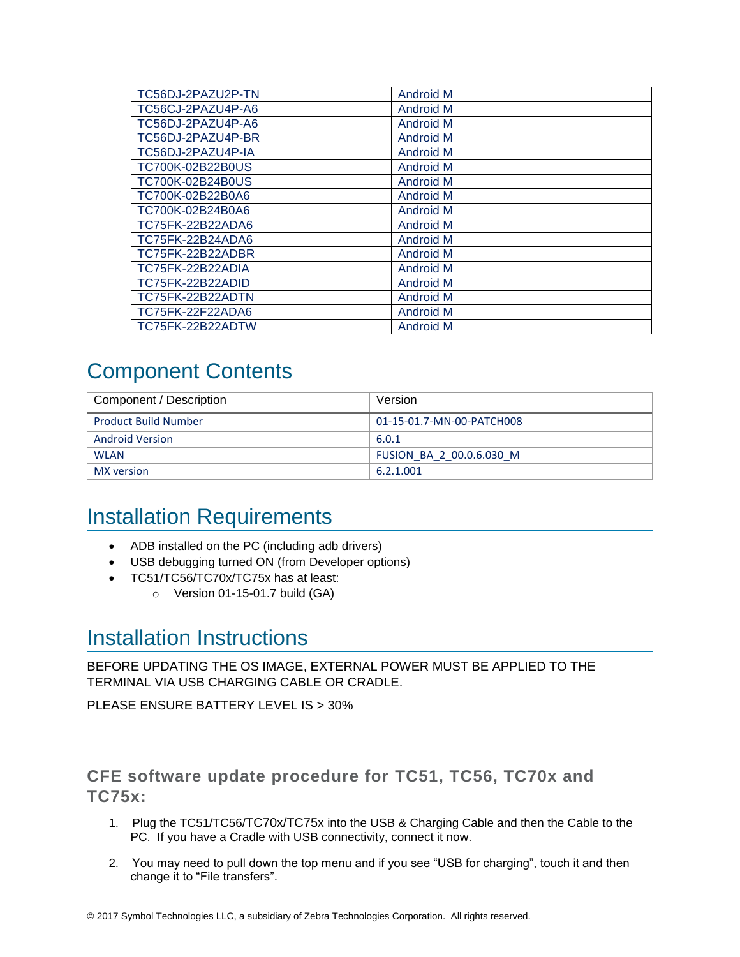| TC56DJ-2PAZU2P-TN | <b>Android M</b> |
|-------------------|------------------|
| TC56CJ-2PAZU4P-A6 | <b>Android M</b> |
| TC56DJ-2PAZU4P-A6 | <b>Android M</b> |
| TC56DJ-2PAZU4P-BR | Android M        |
| TC56DJ-2PAZU4P-IA | Android M        |
| TC700K-02B22B0US  | <b>Android M</b> |
| TC700K-02B24B0US  | <b>Android M</b> |
| TC700K-02B22B0A6  | <b>Android M</b> |
| TC700K-02B24B0A6  | Android M        |
| TC75FK-22B22ADA6  | Android M        |
| TC75FK-22B24ADA6  | <b>Android M</b> |
| TC75FK-22B22ADBR  | <b>Android M</b> |
| TC75FK-22B22ADIA  | <b>Android M</b> |
| TC75FK-22B22ADID  | <b>Android M</b> |
| TC75FK-22B22ADTN  | Android M        |
| TC75FK-22F22ADA6  | <b>Android M</b> |
| TC75FK-22B22ADTW  | <b>Android M</b> |

## <span id="page-2-0"></span>Component Contents

| Component / Description     | Version                   |
|-----------------------------|---------------------------|
| <b>Product Build Number</b> | 01-15-01.7-MN-00-PATCH008 |
| <b>Android Version</b>      | 6.0.1                     |
| <b>WLAN</b>                 | FUSION BA 2 00.0.6.030 M  |
| MX version                  | 6.2.1.001                 |

## <span id="page-2-1"></span>Installation Requirements

- ADB installed on the PC (including adb drivers)
- USB debugging turned ON (from Developer options)
- TC51/TC56/TC70x/TC75x has at least:
	- $\circ$  Version 01-15-01.7 build (GA)

## <span id="page-2-2"></span>Installation Instructions

BEFORE UPDATING THE OS IMAGE, EXTERNAL POWER MUST BE APPLIED TO THE TERMINAL VIA USB CHARGING CABLE OR CRADLE.

PLEASE ENSURE BATTERY LEVEL IS > 30%

## CFE software update procedure for TC51, TC56, TC70x and TC75x:

- 1. Plug the TC51/TC56/TC70x/TC75x into the USB & Charging Cable and then the Cable to the PC. If you have a Cradle with USB connectivity, connect it now.
- 2. You may need to pull down the top menu and if you see "USB for charging", touch it and then change it to "File transfers".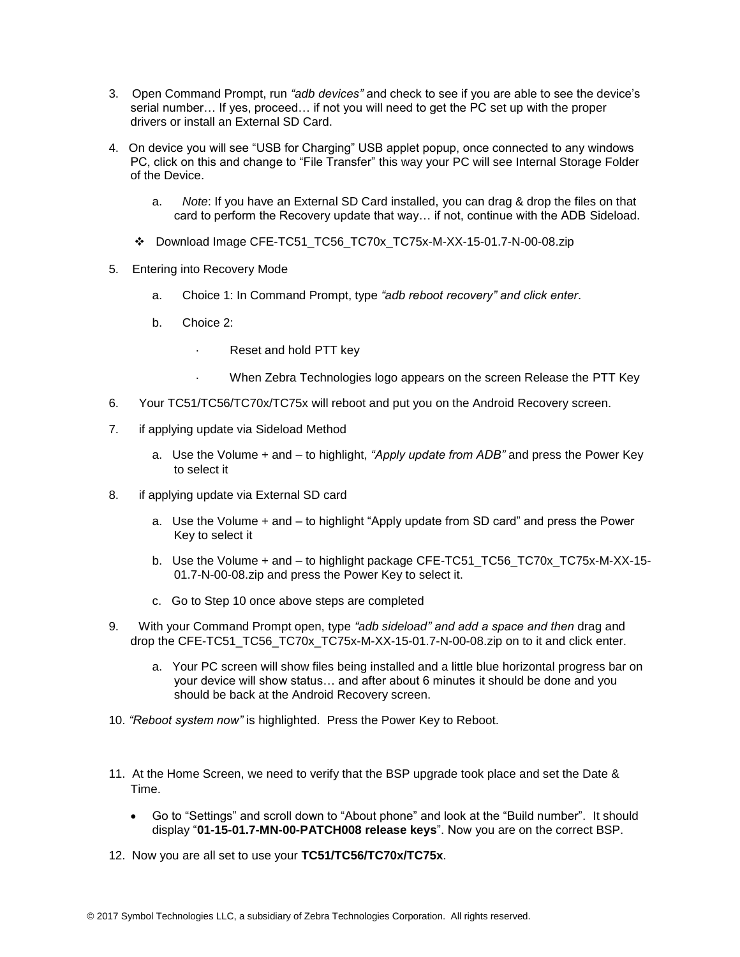- 3. Open Command Prompt, run *"adb devices"* and check to see if you are able to see the device's serial number… If yes, proceed… if not you will need to get the PC set up with the proper drivers or install an External SD Card.
- 4. On device you will see "USB for Charging" USB applet popup, once connected to any windows PC, click on this and change to "File Transfer" this way your PC will see Internal Storage Folder of the Device.
	- a. *Note*: If you have an External SD Card installed, you can drag & drop the files on that card to perform the Recovery update that way… if not, continue with the ADB Sideload.
	- ❖ Download Image CFE-TC51\_TC56\_TC70x\_TC75x-M-XX-15-01.7-N-00-08.zip
- 5. Entering into Recovery Mode
	- a. Choice 1: In Command Prompt, type *"adb reboot recovery" and click enter*.
	- b. Choice 2:
		- · Reset and hold PTT key
		- When Zebra Technologies logo appears on the screen Release the PTT Key
- 6. Your TC51/TC56/TC70x/TC75x will reboot and put you on the Android Recovery screen.
- 7. if applying update via Sideload Method
	- a. Use the Volume + and to highlight, *"Apply update from ADB"* and press the Power Key to select it
- 8. if applying update via External SD card
	- a. Use the Volume + and to highlight "Apply update from SD card" and press the Power Key to select it
	- b. Use the Volume + and to highlight package CFE-TC51\_TC56\_TC70x\_TC75x-M-XX-15- 01.7-N-00-08.zip and press the Power Key to select it.
	- c. Go to Step 10 once above steps are completed
- 9. With your Command Prompt open, type *"adb sideload" and add a space and then* drag and drop the CFE-TC51\_TC56\_TC70x\_TC75x-M-XX-15-01.7-N-00-08.zip on to it and click enter.
	- a. Your PC screen will show files being installed and a little blue horizontal progress bar on your device will show status… and after about 6 minutes it should be done and you should be back at the Android Recovery screen.
- 10. *"Reboot system now"* is highlighted. Press the Power Key to Reboot.
- 11. At the Home Screen, we need to verify that the BSP upgrade took place and set the Date & Time.
	- Go to "Settings" and scroll down to "About phone" and look at the "Build number". It should display "**01-15-01.7-MN-00-PATCH008 release keys**". Now you are on the correct BSP.
- 12. Now you are all set to use your **TC51/TC56/TC70x/TC75x**.